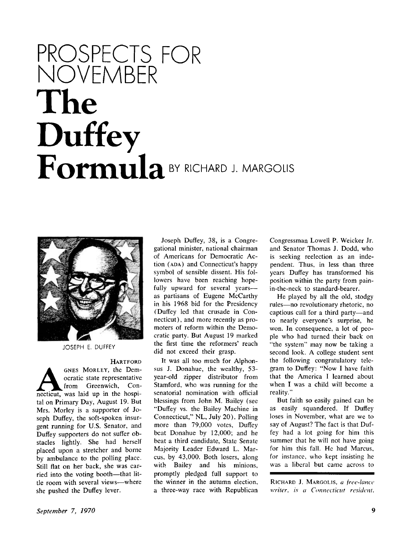## PROSPECTS FOR NOVEMBER **The Duffey**  Formula<sup>BY RICHARD J. MARGOLIS</sup>



JOSEPH E. DUFFEY

## **HARTFORD**

HARTFORD<br>
OCTRIC STATE CORP OCTRICITY, the Dem-<br>
necticut, was laid up in the hospi-GNES MORLEY, the Democratic state representative from Greenwich, Contal on Primary Day, August 19. But Mrs. Morley is a supporter of Joseph Duffey, the soft-spoken insurgent running for U.S. Senator, and Duffey supporters do not suffer obstacles lightly. She had herself placed upon a stretcher and borne by ambulance to the polling place. Still flat on her back, she was carried into the voting booth—that little room with several views—where she pushed the Duffey lever.

Joseph Duffey, 38, is a Congregational minister, national chairman of Americans for Democratic Ac tion (ADA) and Connecticut's happy symbol of sensible dissent. His followers have been reaching hopefully upward for several years as partisans of Eugene McCarthy in his 1968 bid for the Presidency (Duffey led that crusade in Connecticut), and more recently as promoters of reform within the Democratic party. But August 19 marked the first time the reformers' reach did not exceed their grasp.

It was all too much for Alphonsus J. Donahue, the wealthy, 53 year-old zipper distributor from Stamford, who was running for the senatorial nomination with official blessings from John M. Bailey (see "Duffey vs. the Bailey Machine in Connecticut," NL, July 20). Polling more than 79,000 votes, Duffey beat Donahue by 12,000; and he beat a third candidate, State Senate Majority Leader Edward L. Marcus, by 43,000. Both losers, along with Bailey and his minions, promptly pledged full support to the winner in the autumn election, a three-way race with Republican

Congressman Lowell P. Weicker Jr. and Senator Thomas J. Dodd, who is seeking reelection as an independent. Thus, in less than three years Duffey has transformed his position within the party from painin-the-neck to standard-bearer.

He played by all the old, stodgy rules—no revolutionary rhetoric, no captious call for a third party—and to nearly everyone's surprise, he won. In consequence, a lot of people who had turned their back on "the system" may now be taking a second look. A college student sent the following congratulatory telegram to Duffey: "Now I have faith that the America I learned about when I was a child will become a reality."

But faith so easily gained can be as easily squandered. If Duffey loses in November, what are we to say of August? The fact is that Duffey had a lot going for him this summer that he will not have going for him this fall. He had Marcus, for instance, who kept insisting he was a liberal but came across to

RICHARD J. MARGOLIS, *a free-lance writer, is a Connecticut resident.*